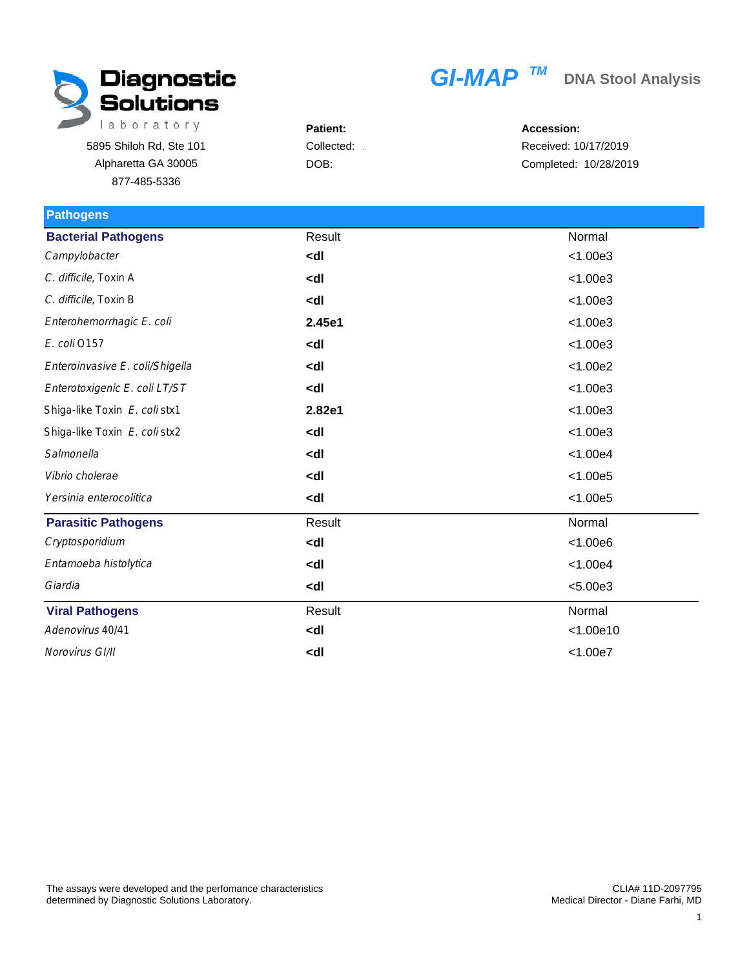

## $GI-MAP$ <sup>TM</sup> DNA Stool Analysis

Patient: 5895 Shiloh Rd, Ste 101 Collected: DOB: Alpharetta GA 30005 877-485-5336

Accession: Received: 10/17/2019 Completed: 10/28/2019

| <b>Pathogens</b>                |                                        |           |
|---------------------------------|----------------------------------------|-----------|
| <b>Bacterial Pathogens</b>      | Result                                 | Normal    |
| Campylobacter                   | <dl< td=""><td>&lt; 1.00e3</td></dl<>  | < 1.00e3  |
| C. difficile, Toxin A           | <dl< td=""><td>&lt; 1.00e3</td></dl<>  | < 1.00e3  |
| C. difficile, Toxin B           | <dl< td=""><td>&lt; 1.00e3</td></dl<>  | < 1.00e3  |
| Enterohemorrhagic E. coli       | 2.45e1                                 | < 1.00e3  |
| E. coli 0157                    | <dl< td=""><td>&lt; 1.00e3</td></dl<>  | < 1.00e3  |
| Enteroinvasive E. coli/Shigella | <dl< td=""><td>&lt; 1.00e2</td></dl<>  | < 1.00e2  |
| Enterotoxigenic E. coli LT/ST   | <dl< td=""><td>&lt; 1.00e3</td></dl<>  | < 1.00e3  |
| Shiga-like Toxin E. coli stx1   | 2.82e1                                 | < 1.00e3  |
| Shiga-like Toxin E. coli stx2   | <dl< td=""><td>&lt; 1.00e3</td></dl<>  | < 1.00e3  |
| Salmonella                      | <dl< td=""><td>&lt; 1.00e4</td></dl<>  | < 1.00e4  |
| Vibrio cholerae                 | <dl< td=""><td>&lt; 1.00e5</td></dl<>  | < 1.00e5  |
| Yersinia enterocolitica         | <dl< th=""><th>&lt; 1.00e5</th></dl<>  | < 1.00e5  |
| <b>Parasitic Pathogens</b>      | Result                                 | Normal    |
| Cryptosporidium                 | <dl< td=""><td>&lt; 1.00e6</td></dl<>  | < 1.00e6  |
| Entamoeba histolytica           | <dl< td=""><td>&lt; 1.00e4</td></dl<>  | < 1.00e4  |
| Giardia                         | <dl< td=""><td>&lt; 5.00e3</td></dl<>  | < 5.00e3  |
| <b>Viral Pathogens</b>          | Result                                 | Normal    |
| Adenovirus 40/41                | <dl< td=""><td>&lt; 1.00e10</td></dl<> | < 1.00e10 |
| Norovirus GI/II                 | <dl< td=""><td>&lt; 1.00e7</td></dl<>  | < 1.00e7  |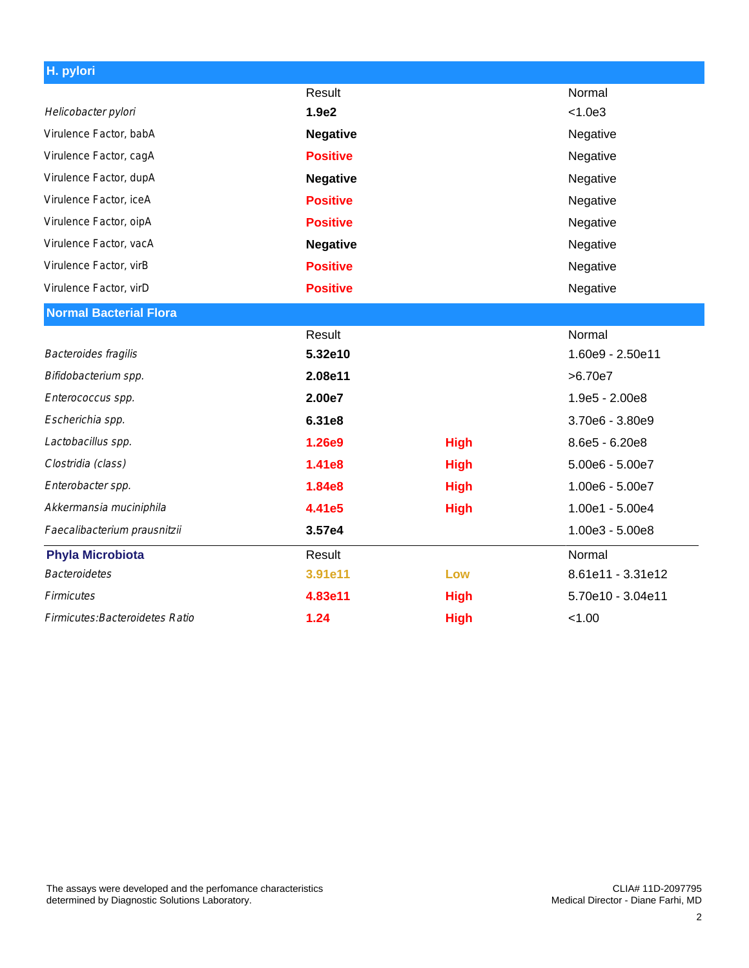| H. pylori                       |                 |             |                   |
|---------------------------------|-----------------|-------------|-------------------|
|                                 | Result          |             | Normal            |
| Helicobacter pylori             | 1.9e2           |             | < 1.0e3           |
| Virulence Factor, babA          | <b>Negative</b> |             | Negative          |
| Virulence Factor, cagA          | <b>Positive</b> |             | Negative          |
| Virulence Factor, dupA          | <b>Negative</b> |             | Negative          |
| Virulence Factor, iceA          | <b>Positive</b> |             | Negative          |
| Virulence Factor, oipA          | <b>Positive</b> |             | Negative          |
| Virulence Factor, vacA          | <b>Negative</b> |             | Negative          |
| Virulence Factor, virB          | <b>Positive</b> |             | Negative          |
| Virulence Factor, virD          | <b>Positive</b> |             | Negative          |
| <b>Normal Bacterial Flora</b>   |                 |             |                   |
|                                 | Result          |             | Normal            |
| Bacteroides fragilis            | 5.32e10         |             | 1.60e9 - 2.50e11  |
| Bifidobacterium spp.            | 2.08e11         |             | >6.70e7           |
| Enterococcus spp.               | 2.00e7          |             | 1.9e5 - 2.00e8    |
| Escherichia spp.                | 6.31e8          |             | 3.70e6 - 3.80e9   |
| Lactobacillus spp.              | 1.26e9          | <b>High</b> | 8.6e5 - 6.20e8    |
| Clostridia (class)              | 1.41e8          | <b>High</b> | 5.00e6 - 5.00e7   |
| Enterobacter spp.               | 1.84e8          | <b>High</b> | 1.00e6 - 5.00e7   |
| Akkermansia muciniphila         | 4.41e5          | <b>High</b> | 1.00e1 - 5.00e4   |
| Faecalibacterium prausnitzii    | 3.57e4          |             | $1.00e3 - 5.00e8$ |
| <b>Phyla Microbiota</b>         | Result          |             | Normal            |
| <b>Bacteroidetes</b>            | 3.91e11         | Low         | 8.61e11 - 3.31e12 |
| <b>Firmicutes</b>               | 4.83e11         | <b>High</b> | 5.70e10 - 3.04e11 |
| Firmicutes: Bacteroidetes Ratio | 1.24            | <b>High</b> | < 1.00            |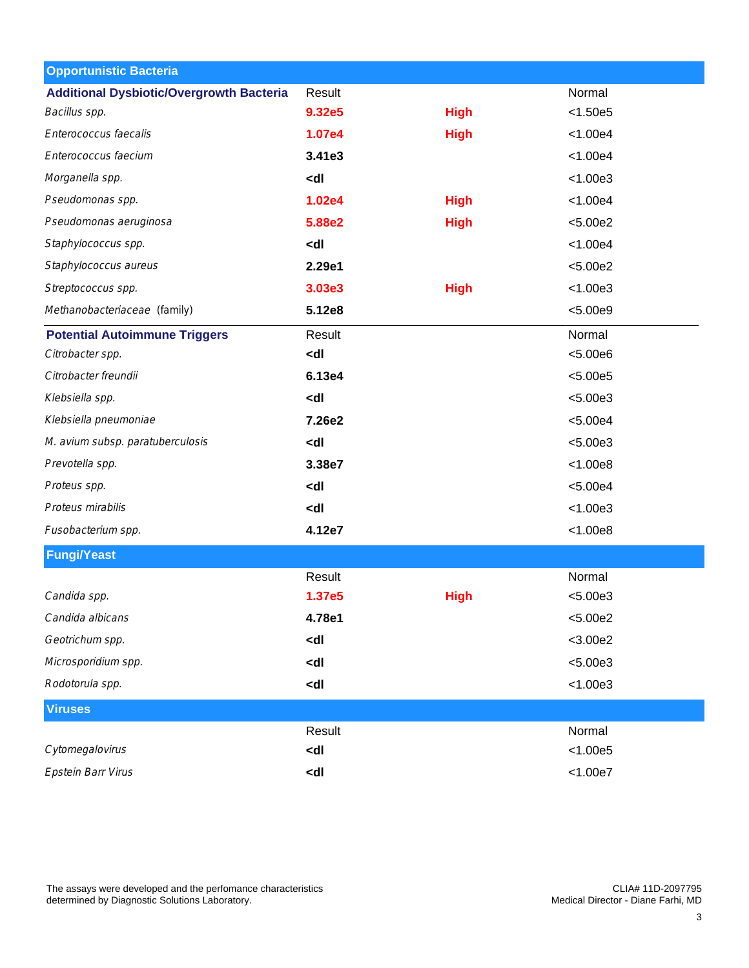| <b>Opportunistic Bacteria</b>                   |                                                                     |             |            |  |
|-------------------------------------------------|---------------------------------------------------------------------|-------------|------------|--|
| <b>Additional Dysbiotic/Overgrowth Bacteria</b> | Result                                                              |             | Normal     |  |
| Bacillus spp.                                   | 9.32e5                                                              | <b>High</b> | < 1.50e5   |  |
| Enterococcus faecalis                           | 1.07e4                                                              | <b>High</b> | < 1.00e4   |  |
| Enterococcus faecium                            | 3.41e3                                                              |             | < 1.00e4   |  |
| Morganella spp.                                 | <dl< td=""><td></td><td>&lt; 1.00e3</td><td></td></dl<>             |             | < 1.00e3   |  |
| Pseudomonas spp.                                | 1.02e4                                                              | <b>High</b> | < 1.00e4   |  |
| Pseudomonas aeruginosa                          | 5.88e2                                                              | <b>High</b> | < 5.00e2   |  |
| Staphylococcus spp.                             | <dl< td=""><td></td><td>&lt; 1.00e4</td><td></td></dl<>             |             | < 1.00e4   |  |
| Staphylococcus aureus                           | 2.29e1                                                              |             | < 5.00e2   |  |
| Streptococcus spp.                              | 3.03e3                                                              | <b>High</b> | < 1.00e3   |  |
| Methanobacteriaceae (family)                    | 5.12e8                                                              |             | < 5.00e9   |  |
| <b>Potential Autoimmune Triggers</b>            | Result                                                              |             | Normal     |  |
| Citrobacter spp.                                | <dl< td=""><td></td><td>&lt; 5.00e6</td><td></td></dl<>             |             | < 5.00e6   |  |
| Citrobacter freundii                            | 6.13e4                                                              |             | < 5.00e5   |  |
| Klebsiella spp.                                 | <dl< td=""><td></td><td>&lt; 5.00e3</td><td></td></dl<>             |             | < 5.00e3   |  |
| Klebsiella pneumoniae                           | 7.26e2                                                              |             | < 5.00e4   |  |
| M. avium subsp. paratuberculosis                | <dl< td=""><td></td><td>&lt; 5.00e3</td><td></td></dl<>             |             | < 5.00e3   |  |
| Prevotella spp.                                 | 3.38e7                                                              |             | < 1.00e8   |  |
| Proteus spp.                                    | <dl< td=""><td></td><td>&lt; 5.00e4</td><td></td></dl<>             |             | < 5.00e4   |  |
| Proteus mirabilis                               | <dl< td=""><td></td><td>&lt; 1.00e3</td><td></td></dl<>             |             | < 1.00e3   |  |
| Fusobacterium spp.                              | 4.12e7                                                              |             | < 1.00e8   |  |
| <b>Fungi/Yeast</b>                              |                                                                     |             |            |  |
|                                                 | Result                                                              |             | Normal     |  |
| Candida spp.                                    | 1.37e5                                                              | <b>High</b> | < 5.00e3   |  |
| Candida albicans                                | 4.78e1                                                              |             | < 5.00e2   |  |
| Geotrichum spp.                                 | <dl< td=""><td></td><td><math>&lt;</math>3.00e2</td><td></td></dl<> |             | $<$ 3.00e2 |  |
| Microsporidium spp.                             | <dl< td=""><td></td><td>&lt; 5.00e3</td><td></td></dl<>             |             | < 5.00e3   |  |
| Rodotorula spp.                                 | <dl< td=""><td></td><td>&lt; 1.00e3</td><td></td></dl<>             |             | < 1.00e3   |  |
| <b>Viruses</b>                                  |                                                                     |             |            |  |
|                                                 | Result                                                              |             | Normal     |  |
| Cytomegalovirus                                 | <dl< td=""><td></td><td>&lt; 1.00e5</td><td></td></dl<>             |             | < 1.00e5   |  |
| Epstein Barr Virus                              | <dl< td=""><td></td><td>&lt; 1.00e7</td><td></td></dl<>             |             | < 1.00e7   |  |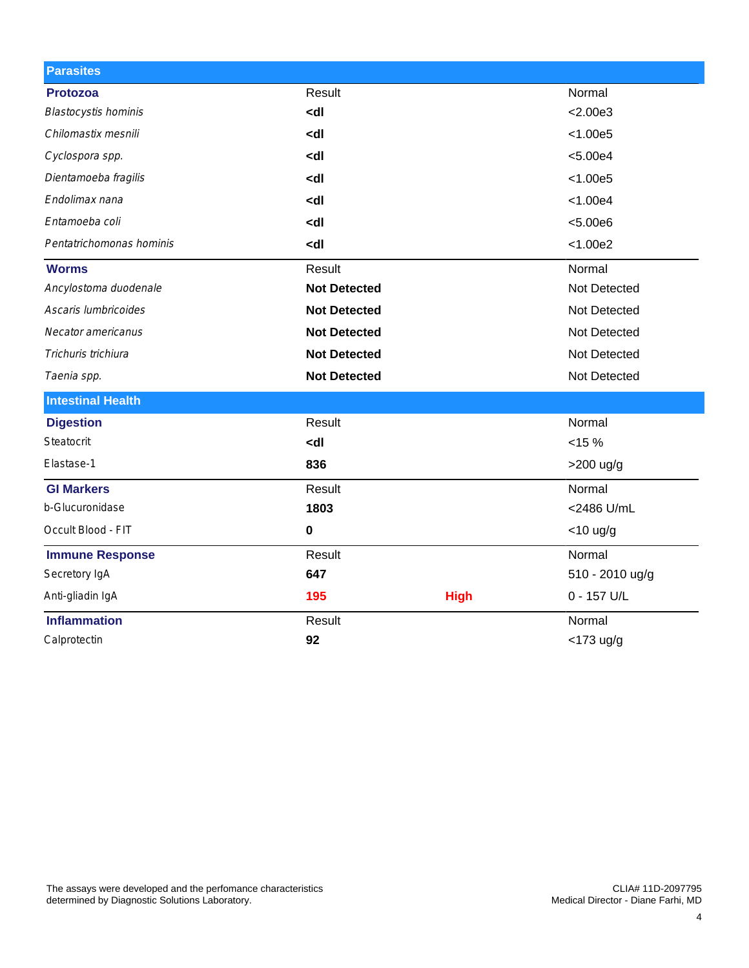| <b>Parasites</b>            |                                                            |             |                 |  |
|-----------------------------|------------------------------------------------------------|-------------|-----------------|--|
| <b>Protozoa</b>             | Result                                                     |             |                 |  |
| <b>Blastocystis hominis</b> | <dl< td=""><td></td><td>&lt; 2.00e3</td></dl<>             |             | < 2.00e3        |  |
| Chilomastix mesnili         | <dl< td=""><td></td><td>&lt; 1.00e5</td></dl<>             |             | < 1.00e5        |  |
| Cyclospora spp.             | <dl< td=""><td></td><td>&lt; 5.00e4</td></dl<>             |             | < 5.00e4        |  |
| Dientamoeba fragilis        | <dl< td=""><td></td><td>&lt; 1.00e5</td></dl<>             |             | < 1.00e5        |  |
| Endolimax nana              | <dl< td=""><td></td><td>&lt; 1.00e4</td></dl<>             |             | < 1.00e4        |  |
| Entamoeba coli              | kdl                                                        |             | < 5.00e6        |  |
| Pentatrichomonas hominis    | <dl< td=""><td></td><td>&lt; 1.00e2</td></dl<>             |             | < 1.00e2        |  |
| <b>Worms</b>                | Result                                                     |             | Normal          |  |
| Ancylostoma duodenale       | <b>Not Detected</b>                                        |             | Not Detected    |  |
| Ascaris lumbricoides        | <b>Not Detected</b>                                        |             | Not Detected    |  |
| Necator americanus          | <b>Not Detected</b>                                        |             | Not Detected    |  |
| Trichuris trichiura         | <b>Not Detected</b>                                        |             | Not Detected    |  |
| Taenia spp.                 | <b>Not Detected</b>                                        |             | Not Detected    |  |
| <b>Intestinal Health</b>    |                                                            |             |                 |  |
| <b>Digestion</b>            | Result                                                     |             | Normal          |  |
| Steatocrit                  | <dl< td=""><td></td><td><math>&lt; 15 \%</math></td></dl<> |             | $< 15 \%$       |  |
| Elastase-1                  | 836                                                        |             | $>200$ ug/g     |  |
| <b>GI Markers</b>           | Result                                                     |             | Normal          |  |
| b-Glucuronidase             | 1803                                                       |             | <2486 U/mL      |  |
| Occult Blood - FIT          | 0                                                          |             | $<$ 10 ug/g     |  |
| <b>Immune Response</b>      | Result                                                     |             | Normal          |  |
| Secretory IgA               | 647                                                        |             | 510 - 2010 ug/g |  |
| Anti-gliadin IgA            | 195                                                        | <b>High</b> | 0 - 157 U/L     |  |
| <b>Inflammation</b>         | Result                                                     |             | Normal          |  |
| Calprotectin                | 92                                                         |             | $<$ 173 ug/g    |  |